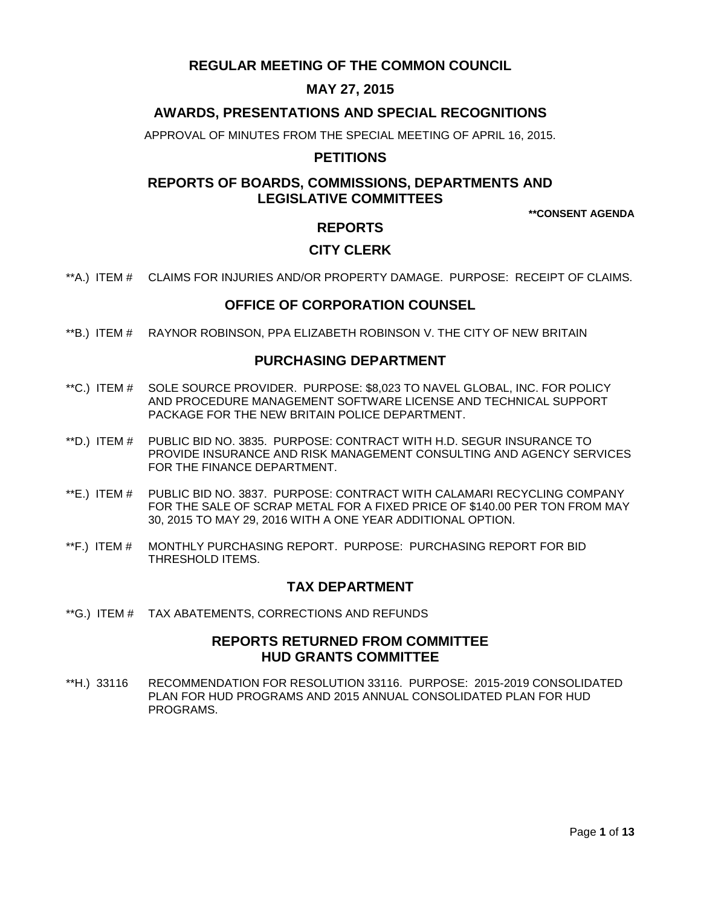# **REGULAR MEETING OF THE COMMON COUNCIL**

# **MAY 27, 2015**

# **AWARDS, PRESENTATIONS AND SPECIAL RECOGNITIONS**

APPROVAL OF MINUTES FROM THE SPECIAL MEETING OF APRIL 16, 2015.

# **PETITIONS**

# **REPORTS OF BOARDS, COMMISSIONS, DEPARTMENTS AND LEGISLATIVE COMMITTEES**

**\*\*CONSENT AGENDA**

### **REPORTS**

## **CITY CLERK**

\*\*A.) ITEM # CLAIMS FOR INJURIES AND/OR PROPERTY DAMAGE. PURPOSE: RECEIPT OF CLAIMS.

# **OFFICE OF CORPORATION COUNSEL**

\*\*B.) ITEM # RAYNOR ROBINSON, PPA ELIZABETH ROBINSON V. THE CITY OF NEW BRITAIN

### **PURCHASING DEPARTMENT**

- \*\*C.) ITEM # SOLE SOURCE PROVIDER. PURPOSE: \$8,023 TO NAVEL GLOBAL, INC. FOR POLICY AND PROCEDURE MANAGEMENT SOFTWARE LICENSE AND TECHNICAL SUPPORT PACKAGE FOR THE NEW BRITAIN POLICE DEPARTMENT.
- \*\*D.) ITEM # PUBLIC BID NO. 3835. PURPOSE: CONTRACT WITH H.D. SEGUR INSURANCE TO PROVIDE INSURANCE AND RISK MANAGEMENT CONSULTING AND AGENCY SERVICES FOR THE FINANCE DEPARTMENT.
- \*\*E.) ITEM # PUBLIC BID NO. 3837. PURPOSE: CONTRACT WITH CALAMARI RECYCLING COMPANY FOR THE SALE OF SCRAP METAL FOR A FIXED PRICE OF \$140.00 PER TON FROM MAY 30, 2015 TO MAY 29, 2016 WITH A ONE YEAR ADDITIONAL OPTION.
- \*\*F.) ITEM # MONTHLY PURCHASING REPORT. PURPOSE: PURCHASING REPORT FOR BID THRESHOLD ITEMS.

# **TAX DEPARTMENT**

\*\*G.) ITEM # TAX ABATEMENTS, CORRECTIONS AND REFUNDS

### **REPORTS RETURNED FROM COMMITTEE HUD GRANTS COMMITTEE**

\*\*H.) 33116 RECOMMENDATION FOR RESOLUTION 33116. PURPOSE: 2015-2019 CONSOLIDATED PLAN FOR HUD PROGRAMS AND 2015 ANNUAL CONSOLIDATED PLAN FOR HUD PROGRAMS.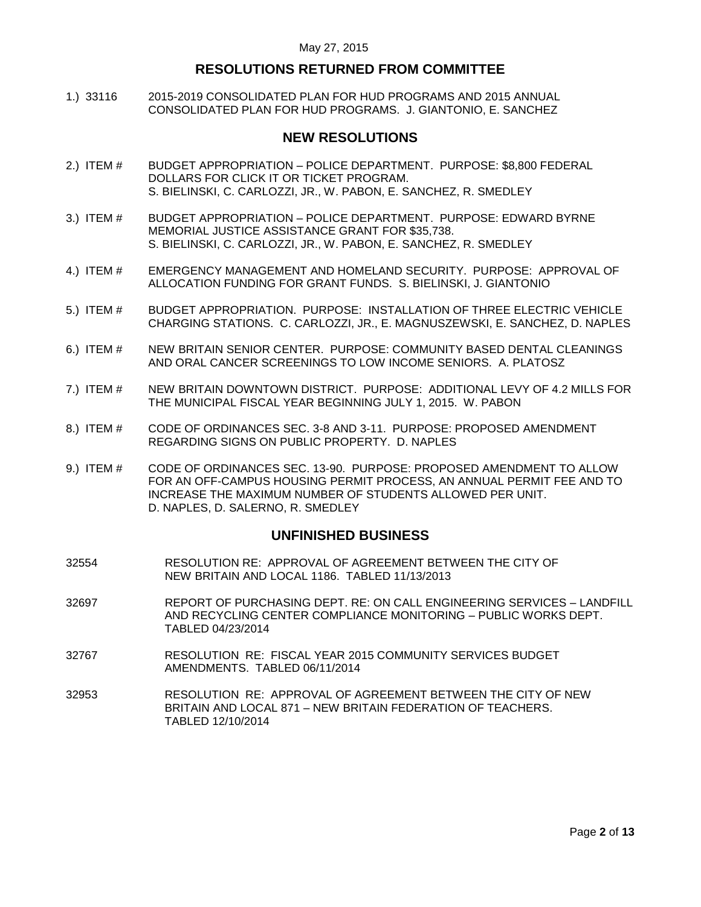# **RESOLUTIONS RETURNED FROM COMMITTEE**

1.) 33116 2015-2019 CONSOLIDATED PLAN FOR HUD PROGRAMS AND 2015 ANNUAL CONSOLIDATED PLAN FOR HUD PROGRAMS. J. GIANTONIO, E. SANCHEZ

## **NEW RESOLUTIONS**

- 2.) ITEM # BUDGET APPROPRIATION POLICE DEPARTMENT. PURPOSE: \$8,800 FEDERAL DOLLARS FOR CLICK IT OR TICKET PROGRAM. S. BIELINSKI, C. CARLOZZI, JR., W. PABON, E. SANCHEZ, R. SMEDLEY
- 3.) ITEM # BUDGET APPROPRIATION POLICE DEPARTMENT. PURPOSE: EDWARD BYRNE MEMORIAL JUSTICE ASSISTANCE GRANT FOR \$35,738. S. BIELINSKI, C. CARLOZZI, JR., W. PABON, E. SANCHEZ, R. SMEDLEY
- 4.) ITEM # EMERGENCY MANAGEMENT AND HOMELAND SECURITY. PURPOSE: APPROVAL OF ALLOCATION FUNDING FOR GRANT FUNDS. S. BIELINSKI, J. GIANTONIO
- 5.) ITEM # BUDGET APPROPRIATION. PURPOSE: INSTALLATION OF THREE ELECTRIC VEHICLE CHARGING STATIONS. C. CARLOZZI, JR., E. MAGNUSZEWSKI, E. SANCHEZ, D. NAPLES
- 6.) ITEM # NEW BRITAIN SENIOR CENTER. PURPOSE: COMMUNITY BASED DENTAL CLEANINGS AND ORAL CANCER SCREENINGS TO LOW INCOME SENIORS. A. PLATOSZ
- 7.) ITEM # NEW BRITAIN DOWNTOWN DISTRICT. PURPOSE: ADDITIONAL LEVY OF 4.2 MILLS FOR THE MUNICIPAL FISCAL YEAR BEGINNING JULY 1, 2015. W. PABON
- 8.) ITEM # CODE OF ORDINANCES SEC. 3-8 AND 3-11. PURPOSE: PROPOSED AMENDMENT REGARDING SIGNS ON PUBLIC PROPERTY. D. NAPLES
- 9.) ITEM # CODE OF ORDINANCES SEC. 13-90. PURPOSE: PROPOSED AMENDMENT TO ALLOW FOR AN OFF-CAMPUS HOUSING PERMIT PROCESS, AN ANNUAL PERMIT FEE AND TO INCREASE THE MAXIMUM NUMBER OF STUDENTS ALLOWED PER UNIT. D. NAPLES, D. SALERNO, R. SMEDLEY

### **UNFINISHED BUSINESS**

- 32554 RESOLUTION RE: APPROVAL OF AGREEMENT BETWEEN THE CITY OF NEW BRITAIN AND LOCAL 1186. TABLED 11/13/2013
- 32697 REPORT OF PURCHASING DEPT. RE: ON CALL ENGINEERING SERVICES LANDFILL AND RECYCLING CENTER COMPLIANCE MONITORING – PUBLIC WORKS DEPT. TABLED 04/23/2014
- 32767 RESOLUTION RE: FISCAL YEAR 2015 COMMUNITY SERVICES BUDGET AMENDMENTS. TABLED 06/11/2014
- 32953 RESOLUTION RE: APPROVAL OF AGREEMENT BETWEEN THE CITY OF NEW BRITAIN AND LOCAL 871 – NEW BRITAIN FEDERATION OF TEACHERS. TABLED 12/10/2014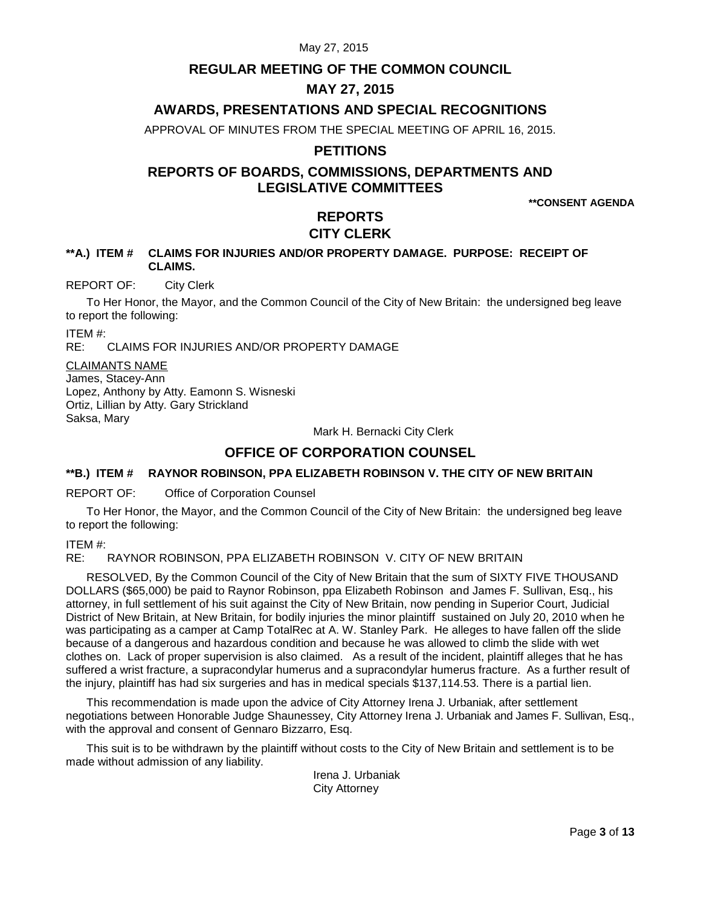# **REGULAR MEETING OF THE COMMON COUNCIL**

# **MAY 27, 2015**

# **AWARDS, PRESENTATIONS AND SPECIAL RECOGNITIONS**

APPROVAL OF MINUTES FROM THE SPECIAL MEETING OF APRIL 16, 2015.

# **PETITIONS**

# **REPORTS OF BOARDS, COMMISSIONS, DEPARTMENTS AND LEGISLATIVE COMMITTEES**

**\*\*CONSENT AGENDA**

# **REPORTS CITY CLERK**

## **\*\*A.) ITEM # CLAIMS FOR INJURIES AND/OR PROPERTY DAMAGE. PURPOSE: RECEIPT OF CLAIMS.**

REPORT OF: City Clerk

To Her Honor, the Mayor, and the Common Council of the City of New Britain: the undersigned beg leave to report the following:

ITEM #:

RE: CLAIMS FOR INJURIES AND/OR PROPERTY DAMAGE

CLAIMANTS NAME James, Stacey-Ann

Lopez, Anthony by Atty. Eamonn S. Wisneski Ortiz, Lillian by Atty. Gary Strickland Saksa, Mary

Mark H. Bernacki City Clerk

# **OFFICE OF CORPORATION COUNSEL**

### **\*\*B.) ITEM # RAYNOR ROBINSON, PPA ELIZABETH ROBINSON V. THE CITY OF NEW BRITAIN**

REPORT OF: Office of Corporation Counsel

To Her Honor, the Mayor, and the Common Council of the City of New Britain: the undersigned beg leave to report the following:

ITEM #:

RE: RAYNOR ROBINSON, PPA ELIZABETH ROBINSON V. CITY OF NEW BRITAIN

RESOLVED, By the Common Council of the City of New Britain that the sum of SIXTY FIVE THOUSAND DOLLARS (\$65,000) be paid to Raynor Robinson, ppa Elizabeth Robinson and James F. Sullivan, Esq., his attorney, in full settlement of his suit against the City of New Britain, now pending in Superior Court, Judicial District of New Britain, at New Britain, for bodily injuries the minor plaintiff sustained on July 20, 2010 when he was participating as a camper at Camp TotalRec at A. W. Stanley Park. He alleges to have fallen off the slide because of a dangerous and hazardous condition and because he was allowed to climb the slide with wet clothes on. Lack of proper supervision is also claimed. As a result of the incident, plaintiff alleges that he has suffered a wrist fracture, a supracondylar humerus and a supracondylar humerus fracture. As a further result of the injury, plaintiff has had six surgeries and has in medical specials \$137,114.53. There is a partial lien.

This recommendation is made upon the advice of City Attorney Irena J. Urbaniak, after settlement negotiations between Honorable Judge Shaunessey, City Attorney Irena J. Urbaniak and James F. Sullivan, Esq., with the approval and consent of Gennaro Bizzarro, Esq.

This suit is to be withdrawn by the plaintiff without costs to the City of New Britain and settlement is to be made without admission of any liability.

> Irena J. Urbaniak City Attorney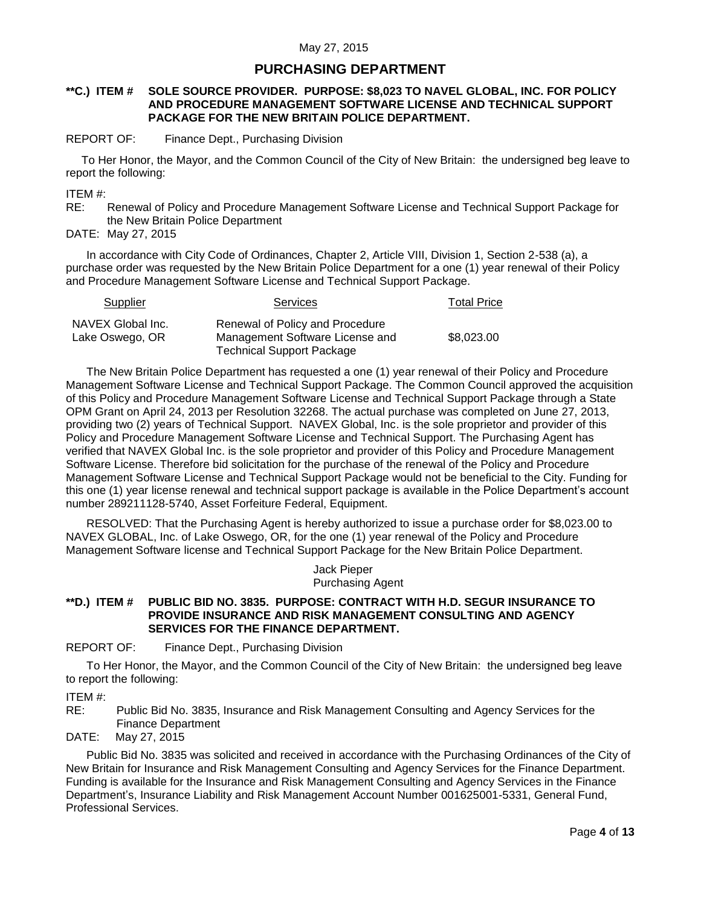# **PURCHASING DEPARTMENT**

#### **\*\*C.) ITEM # SOLE SOURCE PROVIDER. PURPOSE: \$8,023 TO NAVEL GLOBAL, INC. FOR POLICY AND PROCEDURE MANAGEMENT SOFTWARE LICENSE AND TECHNICAL SUPPORT PACKAGE FOR THE NEW BRITAIN POLICE DEPARTMENT.**

### REPORT OF: Finance Dept., Purchasing Division

To Her Honor, the Mayor, and the Common Council of the City of New Britain: the undersigned beg leave to report the following:

ITEM #:

Renewal of Policy and Procedure Management Software License and Technical Support Package for the New Britain Police Department

DATE: May 27, 2015

In accordance with City Code of Ordinances, Chapter 2, Article VIII, Division 1, Section 2-538 (a), a purchase order was requested by the New Britain Police Department for a one (1) year renewal of their Policy and Procedure Management Software License and Technical Support Package.

| Supplier                             | <b>Services</b>                                                                                        | <b>Total Price</b> |
|--------------------------------------|--------------------------------------------------------------------------------------------------------|--------------------|
| NAVEX Global Inc.<br>Lake Oswego, OR | Renewal of Policy and Procedure<br>Management Software License and<br><b>Technical Support Package</b> | \$8,023.00         |

The New Britain Police Department has requested a one (1) year renewal of their Policy and Procedure Management Software License and Technical Support Package. The Common Council approved the acquisition of this Policy and Procedure Management Software License and Technical Support Package through a State OPM Grant on April 24, 2013 per Resolution 32268. The actual purchase was completed on June 27, 2013, providing two (2) years of Technical Support. NAVEX Global, Inc. is the sole proprietor and provider of this Policy and Procedure Management Software License and Technical Support. The Purchasing Agent has verified that NAVEX Global Inc. is the sole proprietor and provider of this Policy and Procedure Management Software License. Therefore bid solicitation for the purchase of the renewal of the Policy and Procedure Management Software License and Technical Support Package would not be beneficial to the City. Funding for this one (1) year license renewal and technical support package is available in the Police Department's account number 289211128-5740, Asset Forfeiture Federal, Equipment.

RESOLVED: That the Purchasing Agent is hereby authorized to issue a purchase order for \$8,023.00 to NAVEX GLOBAL, Inc. of Lake Oswego, OR, for the one (1) year renewal of the Policy and Procedure Management Software license and Technical Support Package for the New Britain Police Department.

> Jack Pieper Purchasing Agent

#### **\*\*D.) ITEM # PUBLIC BID NO. 3835. PURPOSE: CONTRACT WITH H.D. SEGUR INSURANCE TO PROVIDE INSURANCE AND RISK MANAGEMENT CONSULTING AND AGENCY SERVICES FOR THE FINANCE DEPARTMENT.**

REPORT OF: Finance Dept., Purchasing Division

To Her Honor, the Mayor, and the Common Council of the City of New Britain: the undersigned beg leave to report the following:

ITEM #:

RE: Public Bid No. 3835, Insurance and Risk Management Consulting and Agency Services for the Finance Department

# DATE: May 27, 2015

Public Bid No. 3835 was solicited and received in accordance with the Purchasing Ordinances of the City of New Britain for Insurance and Risk Management Consulting and Agency Services for the Finance Department. Funding is available for the Insurance and Risk Management Consulting and Agency Services in the Finance Department's, Insurance Liability and Risk Management Account Number 001625001-5331, General Fund, Professional Services.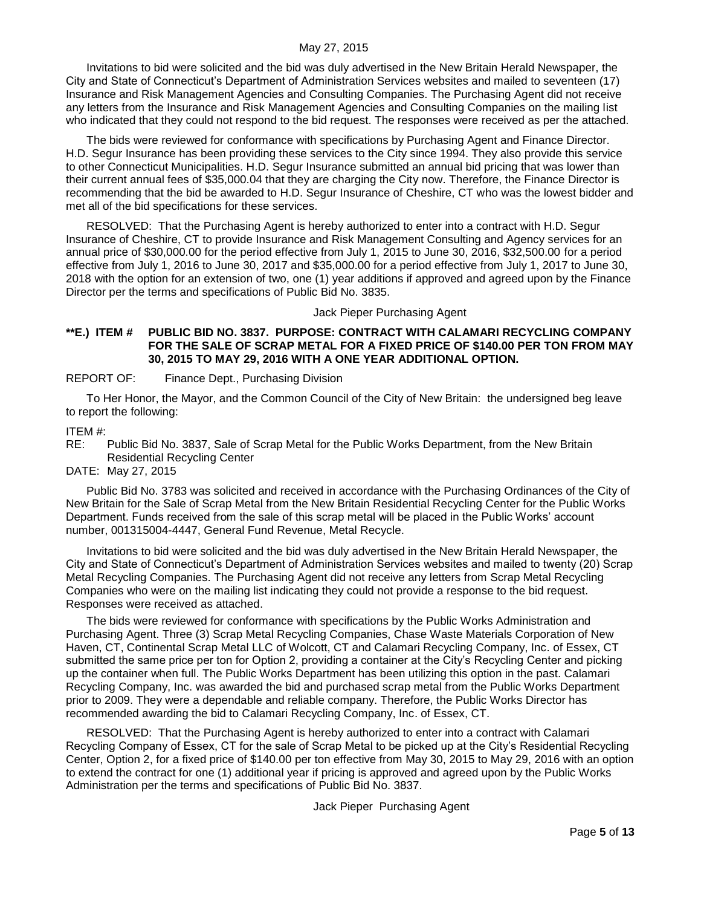Invitations to bid were solicited and the bid was duly advertised in the New Britain Herald Newspaper, the City and State of Connecticut's Department of Administration Services websites and mailed to seventeen (17) Insurance and Risk Management Agencies and Consulting Companies. The Purchasing Agent did not receive any letters from the Insurance and Risk Management Agencies and Consulting Companies on the mailing list who indicated that they could not respond to the bid request. The responses were received as per the attached.

The bids were reviewed for conformance with specifications by Purchasing Agent and Finance Director. H.D. Segur Insurance has been providing these services to the City since 1994. They also provide this service to other Connecticut Municipalities. H.D. Segur Insurance submitted an annual bid pricing that was lower than their current annual fees of \$35,000.04 that they are charging the City now. Therefore, the Finance Director is recommending that the bid be awarded to H.D. Segur Insurance of Cheshire, CT who was the lowest bidder and met all of the bid specifications for these services.

RESOLVED: That the Purchasing Agent is hereby authorized to enter into a contract with H.D. Segur Insurance of Cheshire, CT to provide Insurance and Risk Management Consulting and Agency services for an annual price of \$30,000.00 for the period effective from July 1, 2015 to June 30, 2016, \$32,500.00 for a period effective from July 1, 2016 to June 30, 2017 and \$35,000.00 for a period effective from July 1, 2017 to June 30, 2018 with the option for an extension of two, one (1) year additions if approved and agreed upon by the Finance Director per the terms and specifications of Public Bid No. 3835.

Jack Pieper Purchasing Agent

#### **\*\*E.) ITEM # PUBLIC BID NO. 3837. PURPOSE: CONTRACT WITH CALAMARI RECYCLING COMPANY FOR THE SALE OF SCRAP METAL FOR A FIXED PRICE OF \$140.00 PER TON FROM MAY 30, 2015 TO MAY 29, 2016 WITH A ONE YEAR ADDITIONAL OPTION.**

#### REPORT OF: Finance Dept., Purchasing Division

To Her Honor, the Mayor, and the Common Council of the City of New Britain: the undersigned beg leave to report the following:

ITEM #:

RE: Public Bid No. 3837, Sale of Scrap Metal for the Public Works Department, from the New Britain Residential Recycling Center

#### DATE: May 27, 2015

Public Bid No. 3783 was solicited and received in accordance with the Purchasing Ordinances of the City of New Britain for the Sale of Scrap Metal from the New Britain Residential Recycling Center for the Public Works Department. Funds received from the sale of this scrap metal will be placed in the Public Works' account number, 001315004-4447, General Fund Revenue, Metal Recycle.

Invitations to bid were solicited and the bid was duly advertised in the New Britain Herald Newspaper, the City and State of Connecticut's Department of Administration Services websites and mailed to twenty (20) Scrap Metal Recycling Companies. The Purchasing Agent did not receive any letters from Scrap Metal Recycling Companies who were on the mailing list indicating they could not provide a response to the bid request. Responses were received as attached.

The bids were reviewed for conformance with specifications by the Public Works Administration and Purchasing Agent. Three (3) Scrap Metal Recycling Companies, Chase Waste Materials Corporation of New Haven, CT, Continental Scrap Metal LLC of Wolcott, CT and Calamari Recycling Company, Inc. of Essex, CT submitted the same price per ton for Option 2, providing a container at the City's Recycling Center and picking up the container when full. The Public Works Department has been utilizing this option in the past. Calamari Recycling Company, Inc. was awarded the bid and purchased scrap metal from the Public Works Department prior to 2009. They were a dependable and reliable company. Therefore, the Public Works Director has recommended awarding the bid to Calamari Recycling Company, Inc. of Essex, CT.

RESOLVED: That the Purchasing Agent is hereby authorized to enter into a contract with Calamari Recycling Company of Essex, CT for the sale of Scrap Metal to be picked up at the City's Residential Recycling Center, Option 2, for a fixed price of \$140.00 per ton effective from May 30, 2015 to May 29, 2016 with an option to extend the contract for one (1) additional year if pricing is approved and agreed upon by the Public Works Administration per the terms and specifications of Public Bid No. 3837.

Jack Pieper Purchasing Agent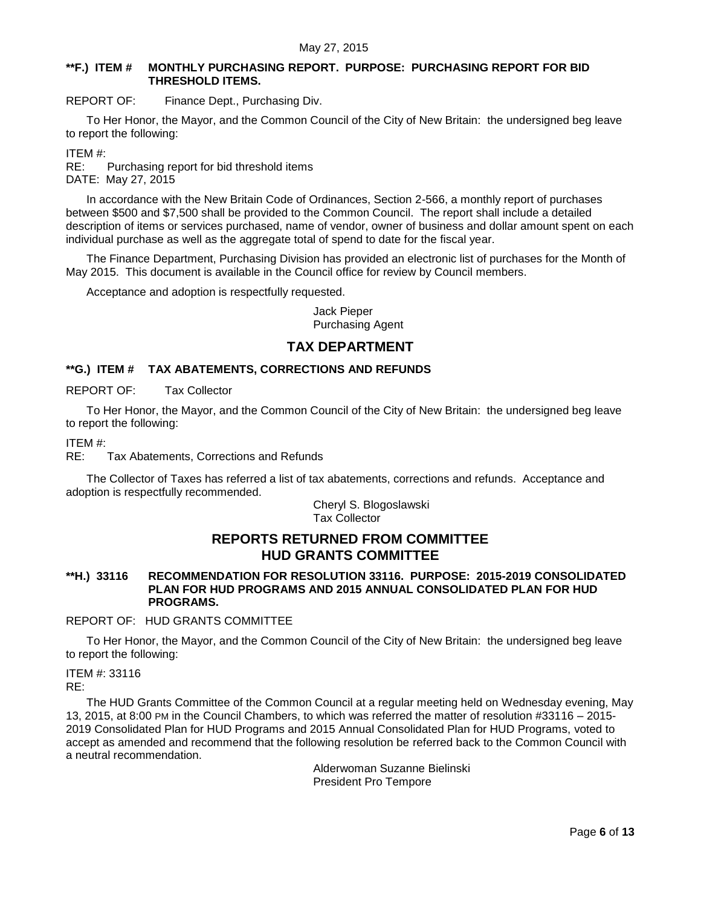#### **\*\*F.) ITEM # MONTHLY PURCHASING REPORT. PURPOSE: PURCHASING REPORT FOR BID THRESHOLD ITEMS.**

REPORT OF: Finance Dept., Purchasing Div.

To Her Honor, the Mayor, and the Common Council of the City of New Britain: the undersigned beg leave to report the following:

ITEM #:

RE: Purchasing report for bid threshold items DATE: May 27, 2015

In accordance with the New Britain Code of Ordinances, Section 2-566, a monthly report of purchases between \$500 and \$7,500 shall be provided to the Common Council. The report shall include a detailed description of items or services purchased, name of vendor, owner of business and dollar amount spent on each individual purchase as well as the aggregate total of spend to date for the fiscal year.

The Finance Department, Purchasing Division has provided an electronic list of purchases for the Month of May 2015. This document is available in the Council office for review by Council members.

Acceptance and adoption is respectfully requested.

Jack Pieper Purchasing Agent

## **TAX DEPARTMENT**

### **\*\*G.) ITEM # TAX ABATEMENTS, CORRECTIONS AND REFUNDS**

REPORT OF: Tax Collector

To Her Honor, the Mayor, and the Common Council of the City of New Britain: the undersigned beg leave to report the following:

ITEM #:

RE: Tax Abatements, Corrections and Refunds

The Collector of Taxes has referred a list of tax abatements, corrections and refunds. Acceptance and adoption is respectfully recommended.

> Cheryl S. Blogoslawski Tax Collector

# **REPORTS RETURNED FROM COMMITTEE HUD GRANTS COMMITTEE**

### **\*\*H.) 33116 RECOMMENDATION FOR RESOLUTION 33116. PURPOSE: 2015-2019 CONSOLIDATED PLAN FOR HUD PROGRAMS AND 2015 ANNUAL CONSOLIDATED PLAN FOR HUD PROGRAMS.**

REPORT OF: HUD GRANTS COMMITTEE

To Her Honor, the Mayor, and the Common Council of the City of New Britain: the undersigned beg leave to report the following:

ITEM #: 33116 RE:

The HUD Grants Committee of the Common Council at a regular meeting held on Wednesday evening, May 13, 2015, at 8:00 PM in the Council Chambers, to which was referred the matter of resolution #33116 – 2015- 2019 Consolidated Plan for HUD Programs and 2015 Annual Consolidated Plan for HUD Programs, voted to accept as amended and recommend that the following resolution be referred back to the Common Council with a neutral recommendation.

> Alderwoman Suzanne Bielinski President Pro Tempore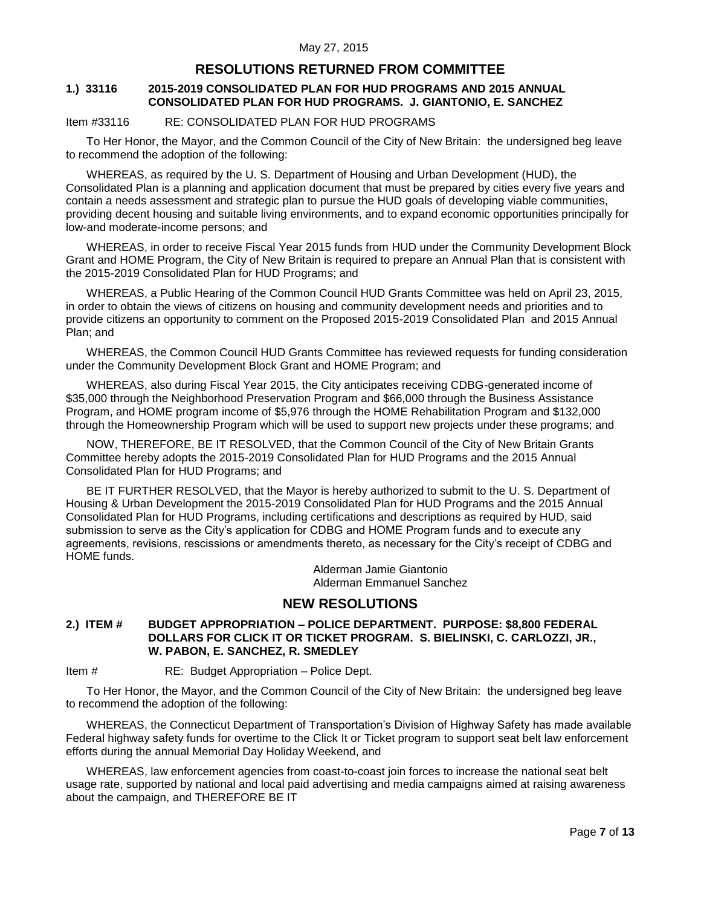# **RESOLUTIONS RETURNED FROM COMMITTEE**

### **1.) 33116 2015-2019 CONSOLIDATED PLAN FOR HUD PROGRAMS AND 2015 ANNUAL CONSOLIDATED PLAN FOR HUD PROGRAMS. J. GIANTONIO, E. SANCHEZ**

### Item #33116 RE: CONSOLIDATED PLAN FOR HUD PROGRAMS

To Her Honor, the Mayor, and the Common Council of the City of New Britain: the undersigned beg leave to recommend the adoption of the following:

WHEREAS, as required by the U. S. Department of Housing and Urban Development (HUD), the Consolidated Plan is a planning and application document that must be prepared by cities every five years and contain a needs assessment and strategic plan to pursue the HUD goals of developing viable communities, providing decent housing and suitable living environments, and to expand economic opportunities principally for low-and moderate-income persons; and

WHEREAS, in order to receive Fiscal Year 2015 funds from HUD under the Community Development Block Grant and HOME Program, the City of New Britain is required to prepare an Annual Plan that is consistent with the 2015-2019 Consolidated Plan for HUD Programs; and

WHEREAS, a Public Hearing of the Common Council HUD Grants Committee was held on April 23, 2015, in order to obtain the views of citizens on housing and community development needs and priorities and to provide citizens an opportunity to comment on the Proposed 2015-2019 Consolidated Plan and 2015 Annual Plan; and

WHEREAS, the Common Council HUD Grants Committee has reviewed requests for funding consideration under the Community Development Block Grant and HOME Program; and

WHEREAS, also during Fiscal Year 2015, the City anticipates receiving CDBG-generated income of \$35,000 through the Neighborhood Preservation Program and \$66,000 through the Business Assistance Program, and HOME program income of \$5,976 through the HOME Rehabilitation Program and \$132,000 through the Homeownership Program which will be used to support new projects under these programs; and

NOW, THEREFORE, BE IT RESOLVED, that the Common Council of the City of New Britain Grants Committee hereby adopts the 2015-2019 Consolidated Plan for HUD Programs and the 2015 Annual Consolidated Plan for HUD Programs; and

BE IT FURTHER RESOLVED, that the Mayor is hereby authorized to submit to the U. S. Department of Housing & Urban Development the 2015-2019 Consolidated Plan for HUD Programs and the 2015 Annual Consolidated Plan for HUD Programs, including certifications and descriptions as required by HUD, said submission to serve as the City's application for CDBG and HOME Program funds and to execute any agreements, revisions, rescissions or amendments thereto, as necessary for the City's receipt of CDBG and HOME funds.

> Alderman Jamie Giantonio Alderman Emmanuel Sanchez

# **NEW RESOLUTIONS**

### **2.) ITEM # BUDGET APPROPRIATION – POLICE DEPARTMENT. PURPOSE: \$8,800 FEDERAL DOLLARS FOR CLICK IT OR TICKET PROGRAM. S. BIELINSKI, C. CARLOZZI, JR., W. PABON, E. SANCHEZ, R. SMEDLEY**

Item # RE: Budget Appropriation – Police Dept.

To Her Honor, the Mayor, and the Common Council of the City of New Britain: the undersigned beg leave to recommend the adoption of the following:

WHEREAS, the Connecticut Department of Transportation's Division of Highway Safety has made available Federal highway safety funds for overtime to the Click It or Ticket program to support seat belt law enforcement efforts during the annual Memorial Day Holiday Weekend, and

WHEREAS, law enforcement agencies from coast-to-coast join forces to increase the national seat belt usage rate, supported by national and local paid advertising and media campaigns aimed at raising awareness about the campaign, and THEREFORE BE IT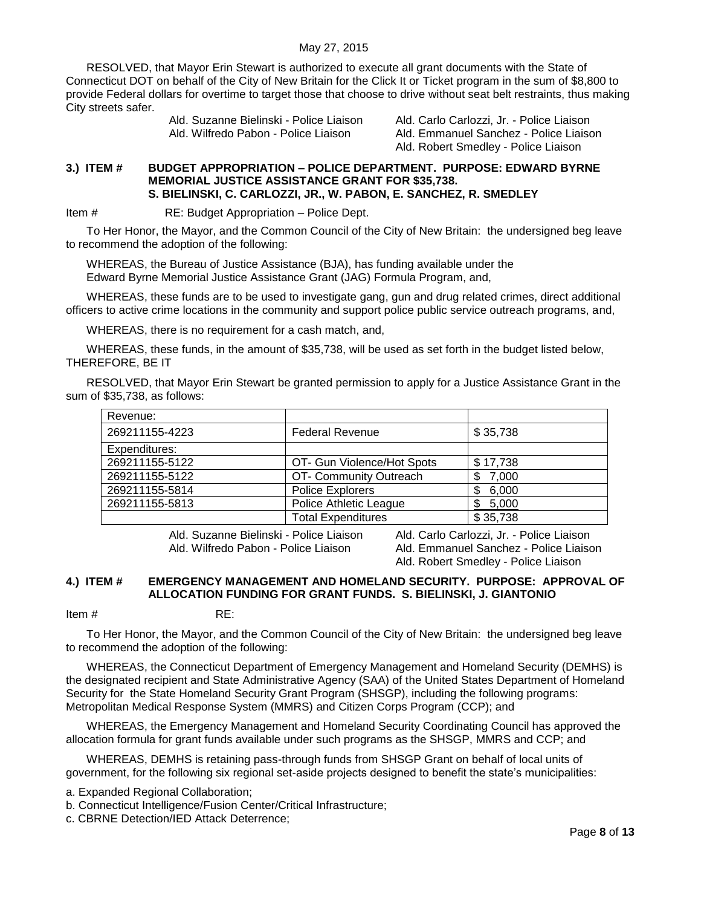RESOLVED, that Mayor Erin Stewart is authorized to execute all grant documents with the State of Connecticut DOT on behalf of the City of New Britain for the Click It or Ticket program in the sum of \$8,800 to provide Federal dollars for overtime to target those that choose to drive without seat belt restraints, thus making City streets safer.

Ald. Suzanne Bielinski - Police Liaison Ald. Carlo Carlozzi, Jr. - Police Liaison

Ald. Wilfredo Pabon - Police Liaison Ald. Emmanuel Sanchez - Police Liaison Ald. Robert Smedley - Police Liaison

#### **3.) ITEM # BUDGET APPROPRIATION – POLICE DEPARTMENT. PURPOSE: EDWARD BYRNE MEMORIAL JUSTICE ASSISTANCE GRANT FOR \$35,738. S. BIELINSKI, C. CARLOZZI, JR., W. PABON, E. SANCHEZ, R. SMEDLEY**

Item # RE: Budget Appropriation – Police Dept.

To Her Honor, the Mayor, and the Common Council of the City of New Britain: the undersigned beg leave to recommend the adoption of the following:

WHEREAS, the Bureau of Justice Assistance (BJA), has funding available under the Edward Byrne Memorial Justice Assistance Grant (JAG) Formula Program, and,

WHEREAS, these funds are to be used to investigate gang, gun and drug related crimes, direct additional officers to active crime locations in the community and support police public service outreach programs, and,

WHEREAS, there is no requirement for a cash match, and,

WHEREAS, these funds, in the amount of \$35,738, will be used as set forth in the budget listed below, THEREFORE, BE IT

RESOLVED, that Mayor Erin Stewart be granted permission to apply for a Justice Assistance Grant in the sum of \$35,738, as follows:

| Revenue:       |                            |            |
|----------------|----------------------------|------------|
| 269211155-4223 | <b>Federal Revenue</b>     | \$35,738   |
| Expenditures:  |                            |            |
| 269211155-5122 | OT- Gun Violence/Hot Spots | \$17,738   |
| 269211155-5122 | OT- Community Outreach     | 7,000<br>S |
| 269211155-5814 | <b>Police Explorers</b>    | 6,000<br>S |
| 269211155-5813 | Police Athletic League     | 5,000      |
|                | <b>Total Expenditures</b>  | \$35,738   |

Ald. Suzanne Bielinski - Police Liaison Ald. Carlo Carlozzi, Jr. - Police Liaison

Ald. Wilfredo Pabon - Police Liaison Ald. Emmanuel Sanchez - Police Liaison Ald. Robert Smedley - Police Liaison

### **4.) ITEM # EMERGENCY MANAGEMENT AND HOMELAND SECURITY. PURPOSE: APPROVAL OF ALLOCATION FUNDING FOR GRANT FUNDS. S. BIELINSKI, J. GIANTONIO**

Item # RE:

To Her Honor, the Mayor, and the Common Council of the City of New Britain: the undersigned beg leave to recommend the adoption of the following:

WHEREAS, the Connecticut Department of Emergency Management and Homeland Security (DEMHS) is the designated recipient and State Administrative Agency (SAA) of the United States Department of Homeland Security for the State Homeland Security Grant Program (SHSGP), including the following programs: Metropolitan Medical Response System (MMRS) and Citizen Corps Program (CCP); and

WHEREAS, the Emergency Management and Homeland Security Coordinating Council has approved the allocation formula for grant funds available under such programs as the SHSGP, MMRS and CCP; and

WHEREAS, DEMHS is retaining pass-through funds from SHSGP Grant on behalf of local units of government, for the following six regional set-aside projects designed to benefit the state's municipalities:

a. Expanded Regional Collaboration;

b. Connecticut Intelligence/Fusion Center/Critical Infrastructure;

c. CBRNE Detection/IED Attack Deterrence;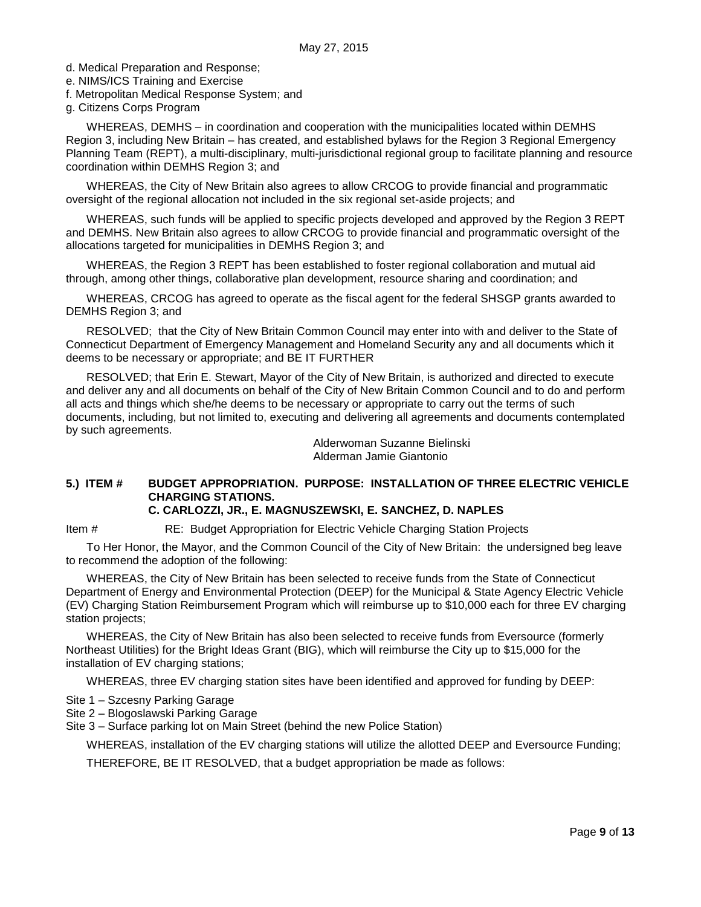d. Medical Preparation and Response;

- e. NIMS/ICS Training and Exercise
- f. Metropolitan Medical Response System; and
- g. Citizens Corps Program

WHEREAS, DEMHS – in coordination and cooperation with the municipalities located within DEMHS Region 3, including New Britain – has created, and established bylaws for the Region 3 Regional Emergency Planning Team (REPT), a multi-disciplinary, multi-jurisdictional regional group to facilitate planning and resource coordination within DEMHS Region 3; and

WHEREAS, the City of New Britain also agrees to allow CRCOG to provide financial and programmatic oversight of the regional allocation not included in the six regional set-aside projects; and

WHEREAS, such funds will be applied to specific projects developed and approved by the Region 3 REPT and DEMHS. New Britain also agrees to allow CRCOG to provide financial and programmatic oversight of the allocations targeted for municipalities in DEMHS Region 3; and

WHEREAS, the Region 3 REPT has been established to foster regional collaboration and mutual aid through, among other things, collaborative plan development, resource sharing and coordination; and

WHEREAS, CRCOG has agreed to operate as the fiscal agent for the federal SHSGP grants awarded to DEMHS Region 3; and

RESOLVED; that the City of New Britain Common Council may enter into with and deliver to the State of Connecticut Department of Emergency Management and Homeland Security any and all documents which it deems to be necessary or appropriate; and BE IT FURTHER

RESOLVED; that Erin E. Stewart, Mayor of the City of New Britain, is authorized and directed to execute and deliver any and all documents on behalf of the City of New Britain Common Council and to do and perform all acts and things which she/he deems to be necessary or appropriate to carry out the terms of such documents, including, but not limited to, executing and delivering all agreements and documents contemplated by such agreements.

> Alderwoman Suzanne Bielinski Alderman Jamie Giantonio

### **5.) ITEM # BUDGET APPROPRIATION. PURPOSE: INSTALLATION OF THREE ELECTRIC VEHICLE CHARGING STATIONS.**

### **C. CARLOZZI, JR., E. MAGNUSZEWSKI, E. SANCHEZ, D. NAPLES**

Item # RE: Budget Appropriation for Electric Vehicle Charging Station Projects

To Her Honor, the Mayor, and the Common Council of the City of New Britain: the undersigned beg leave to recommend the adoption of the following:

WHEREAS, the City of New Britain has been selected to receive funds from the State of Connecticut Department of Energy and Environmental Protection (DEEP) for the Municipal & State Agency Electric Vehicle (EV) Charging Station Reimbursement Program which will reimburse up to \$10,000 each for three EV charging station projects;

WHEREAS, the City of New Britain has also been selected to receive funds from Eversource (formerly Northeast Utilities) for the Bright Ideas Grant (BIG), which will reimburse the City up to \$15,000 for the installation of EV charging stations;

WHEREAS, three EV charging station sites have been identified and approved for funding by DEEP:

- Site 1 Szcesny Parking Garage
- Site 2 Blogoslawski Parking Garage
- Site 3 Surface parking lot on Main Street (behind the new Police Station)

WHEREAS, installation of the EV charging stations will utilize the allotted DEEP and Eversource Funding;

THEREFORE, BE IT RESOLVED, that a budget appropriation be made as follows: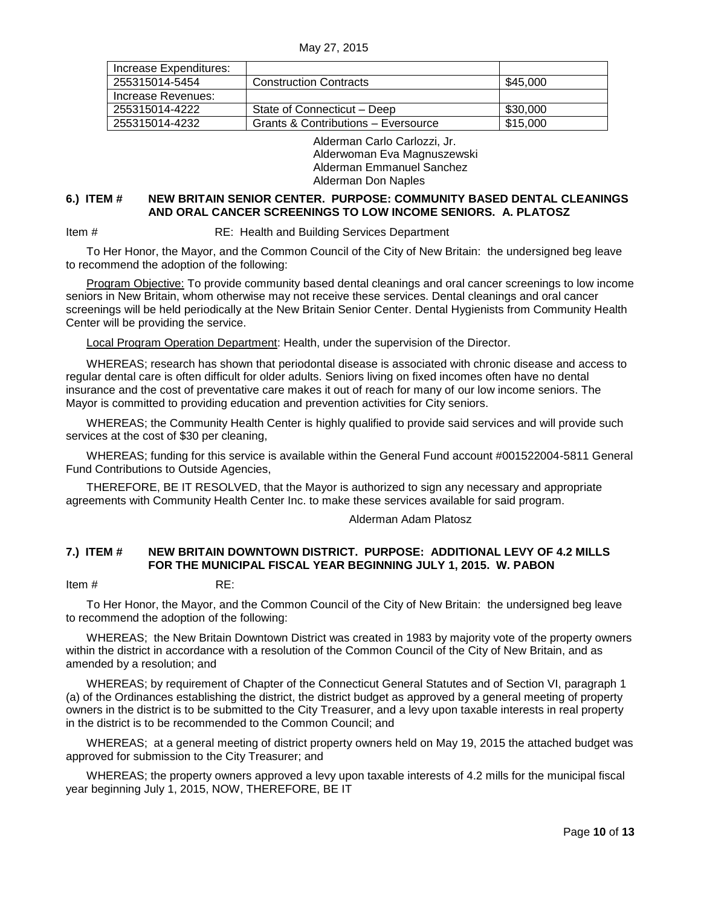| Increase Expenditures: |                                                |          |
|------------------------|------------------------------------------------|----------|
| 255315014-5454         | <b>Construction Contracts</b>                  | \$45,000 |
| Increase Revenues:     |                                                |          |
| 255315014-4222         | State of Connecticut – Deep                    | \$30,000 |
| 255315014-4232         | <b>Grants &amp; Contributions - Eversource</b> | \$15,000 |

Alderman Carlo Carlozzi, Jr. Alderwoman Eva Magnuszewski Alderman Emmanuel Sanchez Alderman Don Naples

### **6.) ITEM # NEW BRITAIN SENIOR CENTER. PURPOSE: COMMUNITY BASED DENTAL CLEANINGS AND ORAL CANCER SCREENINGS TO LOW INCOME SENIORS. A. PLATOSZ**

Item # RE: Health and Building Services Department

To Her Honor, the Mayor, and the Common Council of the City of New Britain: the undersigned beg leave to recommend the adoption of the following:

Program Objective: To provide community based dental cleanings and oral cancer screenings to low income seniors in New Britain, whom otherwise may not receive these services. Dental cleanings and oral cancer screenings will be held periodically at the New Britain Senior Center. Dental Hygienists from Community Health Center will be providing the service.

Local Program Operation Department: Health, under the supervision of the Director.

WHEREAS; research has shown that periodontal disease is associated with chronic disease and access to regular dental care is often difficult for older adults. Seniors living on fixed incomes often have no dental insurance and the cost of preventative care makes it out of reach for many of our low income seniors. The Mayor is committed to providing education and prevention activities for City seniors.

WHEREAS; the Community Health Center is highly qualified to provide said services and will provide such services at the cost of \$30 per cleaning,

WHEREAS; funding for this service is available within the General Fund account #001522004-5811 General Fund Contributions to Outside Agencies,

THEREFORE, BE IT RESOLVED, that the Mayor is authorized to sign any necessary and appropriate agreements with Community Health Center Inc. to make these services available for said program.

Alderman Adam Platosz

### **7.) ITEM # NEW BRITAIN DOWNTOWN DISTRICT. PURPOSE: ADDITIONAL LEVY OF 4.2 MILLS FOR THE MUNICIPAL FISCAL YEAR BEGINNING JULY 1, 2015. W. PABON**

Item # RE:

To Her Honor, the Mayor, and the Common Council of the City of New Britain: the undersigned beg leave to recommend the adoption of the following:

WHEREAS; the New Britain Downtown District was created in 1983 by majority vote of the property owners within the district in accordance with a resolution of the Common Council of the City of New Britain, and as amended by a resolution; and

WHEREAS; by requirement of Chapter of the Connecticut General Statutes and of Section VI, paragraph 1 (a) of the Ordinances establishing the district, the district budget as approved by a general meeting of property owners in the district is to be submitted to the City Treasurer, and a levy upon taxable interests in real property in the district is to be recommended to the Common Council; and

WHEREAS; at a general meeting of district property owners held on May 19, 2015 the attached budget was approved for submission to the City Treasurer; and

WHEREAS; the property owners approved a levy upon taxable interests of 4.2 mills for the municipal fiscal year beginning July 1, 2015, NOW, THEREFORE, BE IT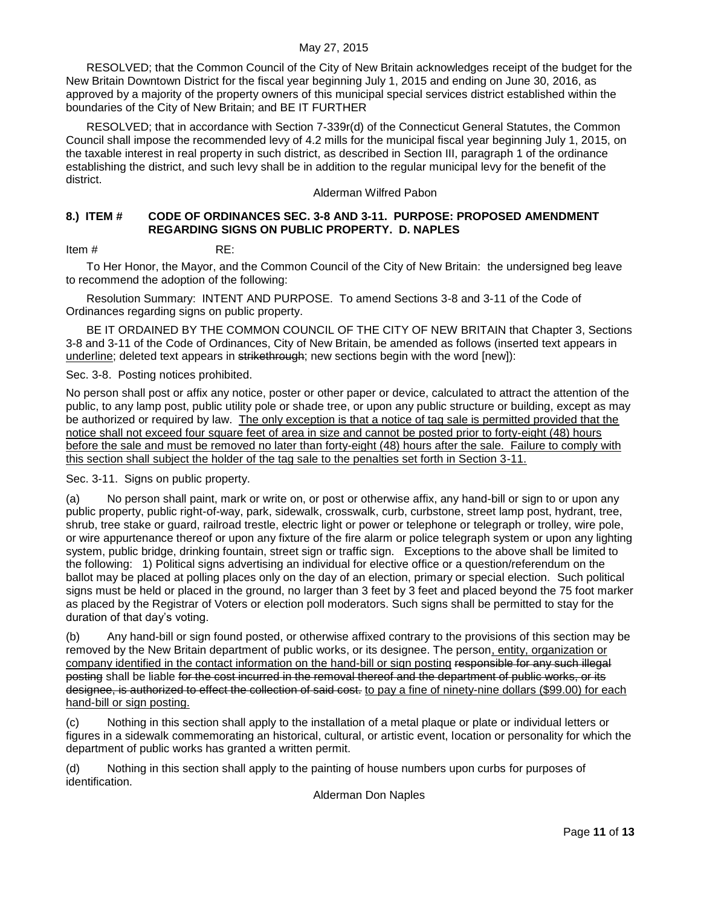RESOLVED; that the Common Council of the City of New Britain acknowledges receipt of the budget for the New Britain Downtown District for the fiscal year beginning July 1, 2015 and ending on June 30, 2016, as approved by a majority of the property owners of this municipal special services district established within the boundaries of the City of New Britain; and BE IT FURTHER

RESOLVED; that in accordance with Section 7-339r(d) of the Connecticut General Statutes, the Common Council shall impose the recommended levy of 4.2 mills for the municipal fiscal year beginning July 1, 2015, on the taxable interest in real property in such district, as described in Section III, paragraph 1 of the ordinance establishing the district, and such levy shall be in addition to the regular municipal levy for the benefit of the district.

#### Alderman Wilfred Pabon

### **8.) ITEM # CODE OF ORDINANCES SEC. 3-8 AND 3-11. PURPOSE: PROPOSED AMENDMENT REGARDING SIGNS ON PUBLIC PROPERTY. D. NAPLES**

Item # RE:

To Her Honor, the Mayor, and the Common Council of the City of New Britain: the undersigned beg leave to recommend the adoption of the following:

Resolution Summary: INTENT AND PURPOSE. To amend Sections 3-8 and 3-11 of the Code of Ordinances regarding signs on public property.

BE IT ORDAINED BY THE COMMON COUNCIL OF THE CITY OF NEW BRITAIN that Chapter 3, Sections 3-8 and 3-11 of the Code of Ordinances, City of New Britain, be amended as follows (inserted text appears in underline; deleted text appears in strikethrough; new sections begin with the word [new]):

Sec. 3-8. Posting notices prohibited.

No person shall post or affix any notice, poster or other paper or device, calculated to attract the attention of the public, to any lamp post, public utility pole or shade tree, or upon any public structure or building, except as may be authorized or required by law. The only exception is that a notice of tag sale is permitted provided that the notice shall not exceed four square feet of area in size and cannot be posted prior to forty-eight (48) hours before the sale and must be removed no later than forty-eight (48) hours after the sale. Failure to comply with this section shall subject the holder of the tag sale to the penalties set forth in Section 3-11.

Sec. 3-11. Signs on public property.

(a) No person shall paint, mark or write on, or post or otherwise affix, any hand-bill or sign to or upon any public property, public right-of-way, park, sidewalk, crosswalk, curb, curbstone, street lamp post, hydrant, tree, shrub, tree stake or guard, railroad trestle, electric light or power or telephone or telegraph or trolley, wire pole, or wire appurtenance thereof or upon any fixture of the fire alarm or police telegraph system or upon any lighting system, public bridge, drinking fountain, street sign or traffic sign. Exceptions to the above shall be limited to the following: 1) Political signs advertising an individual for elective office or a question/referendum on the ballot may be placed at polling places only on the day of an election, primary or special election. Such political signs must be held or placed in the ground, no larger than 3 feet by 3 feet and placed beyond the 75 foot marker as placed by the Registrar of Voters or election poll moderators. Such signs shall be permitted to stay for the duration of that day's voting.

(b) Any hand-bill or sign found posted, or otherwise affixed contrary to the provisions of this section may be removed by the New Britain department of public works, or its designee. The person, entity, organization or company identified in the contact information on the hand-bill or sign posting responsible for any such illegal posting shall be liable for the cost incurred in the removal thereof and the department of public works, or its designee, is authorized to effect the collection of said cost. to pay a fine of ninety-nine dollars (\$99.00) for each hand-bill or sign posting.

(c) Nothing in this section shall apply to the installation of a metal plaque or plate or individual letters or figures in a sidewalk commemorating an historical, cultural, or artistic event, location or personality for which the department of public works has granted a written permit.

(d) Nothing in this section shall apply to the painting of house numbers upon curbs for purposes of identification.

Alderman Don Naples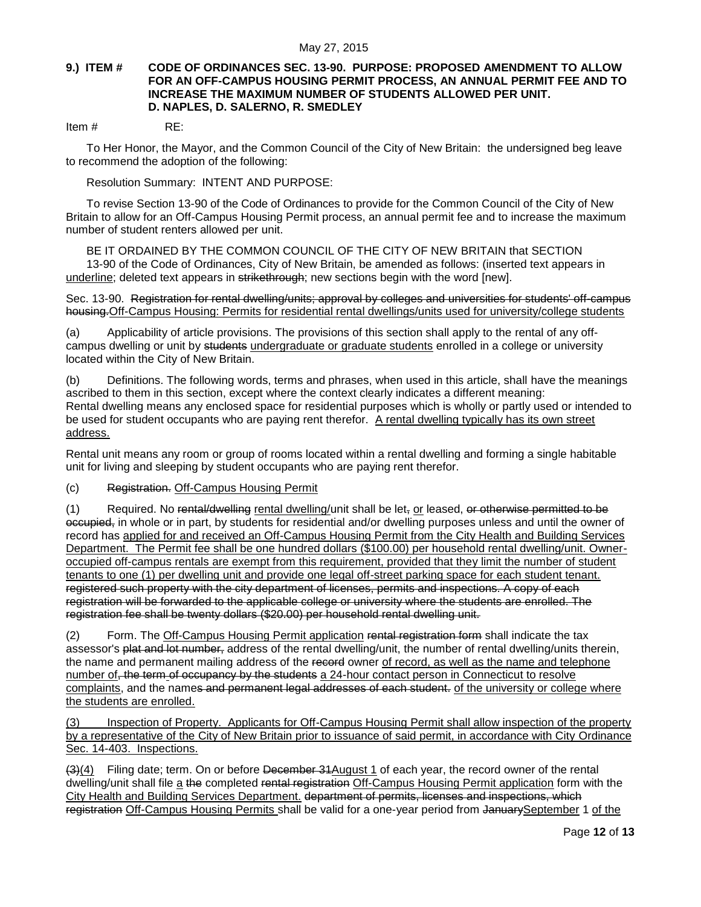#### **9.) ITEM # CODE OF ORDINANCES SEC. 13-90. PURPOSE: PROPOSED AMENDMENT TO ALLOW FOR AN OFF-CAMPUS HOUSING PERMIT PROCESS, AN ANNUAL PERMIT FEE AND TO INCREASE THE MAXIMUM NUMBER OF STUDENTS ALLOWED PER UNIT. D. NAPLES, D. SALERNO, R. SMEDLEY**

Item # RE:

To Her Honor, the Mayor, and the Common Council of the City of New Britain: the undersigned beg leave to recommend the adoption of the following:

Resolution Summary: INTENT AND PURPOSE:

To revise Section 13-90 of the Code of Ordinances to provide for the Common Council of the City of New Britain to allow for an Off-Campus Housing Permit process, an annual permit fee and to increase the maximum number of student renters allowed per unit.

BE IT ORDAINED BY THE COMMON COUNCIL OF THE CITY OF NEW BRITAIN that SECTION 13-90 of the Code of Ordinances, City of New Britain, be amended as follows: (inserted text appears in underline; deleted text appears in strikethrough; new sections begin with the word [new].

Sec. 13-90. Registration for rental dwelling/units; approval by colleges and universities for students' off-campus housing.Off-Campus Housing: Permits for residential rental dwellings/units used for university/college students

(a) Applicability of article provisions. The provisions of this section shall apply to the rental of any offcampus dwelling or unit by students undergraduate or graduate students enrolled in a college or university located within the City of New Britain.

(b) Definitions. The following words, terms and phrases, when used in this article, shall have the meanings ascribed to them in this section, except where the context clearly indicates a different meaning: Rental dwelling means any enclosed space for residential purposes which is wholly or partly used or intended to be used for student occupants who are paying rent therefor. A rental dwelling typically has its own street address.

Rental unit means any room or group of rooms located within a rental dwelling and forming a single habitable unit for living and sleeping by student occupants who are paying rent therefor.

(c) Registration. Off-Campus Housing Permit

(1) Required. No rental/dwelling rental dwelling/unit shall be let<sub>r</sub> or leased, or otherwise permitted to be occupied, in whole or in part, by students for residential and/or dwelling purposes unless and until the owner of record has applied for and received an Off-Campus Housing Permit from the City Health and Building Services Department. The Permit fee shall be one hundred dollars (\$100.00) per household rental dwelling/unit. Owneroccupied off-campus rentals are exempt from this requirement, provided that they limit the number of student tenants to one (1) per dwelling unit and provide one legal off-street parking space for each student tenant. registered such property with the city department of licenses, permits and inspections. A copy of each registration will be forwarded to the applicable college or university where the students are enrolled. The registration fee shall be twenty dollars (\$20.00) per household rental dwelling unit.

(2) Form. The Off-Campus Housing Permit application rental registration form shall indicate the tax assessor's plat and lot number, address of the rental dwelling/unit, the number of rental dwelling/units therein, the name and permanent mailing address of the record owner of record, as well as the name and telephone number of, the term of occupancy by the students a 24-hour contact person in Connecticut to resolve complaints, and the names and permanent legal addresses of each student. of the university or college where the students are enrolled.

(3) Inspection of Property. Applicants for Off-Campus Housing Permit shall allow inspection of the property by a representative of the City of New Britain prior to issuance of said permit, in accordance with City Ordinance Sec. 14-403. Inspections.

(3)(4) Filing date; term. On or before December 31August 1 of each year, the record owner of the rental dwelling/unit shall file a the completed rental registration Off-Campus Housing Permit application form with the City Health and Building Services Department. department of permits, licenses and inspections, which registration Off-Campus Housing Permits shall be valid for a one-year period from JanuarySeptember 1 of the